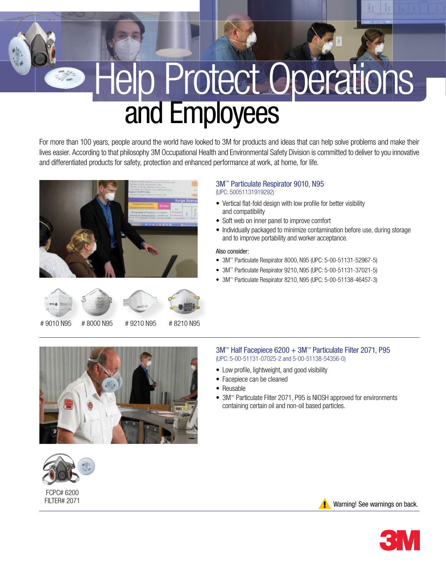# and Employees Help Protect Operations

For more than 100 years, people around the world have looked to 3M for products and ideas that can help solve problems and make their lives easier. According to that philosophy 3M Occupational Health and Environmental Safety Division is committed to deliver to you innovative and differentiated products for safety, protection and enhanced performance at work, at home, for life.





# 9010 N95 # 8000 N95 # 9210 N95 # 8210 N95





FCPC# 6200 FILTER# 2071

## 3M™ Particulate Respirator 9010, N95 (UPC: 50051131919292)

- Vertical flat-fold design with low profile for better visibility and compatibility
- Soft web on inner panel to improve comfort
- Individually packaged to minimize contamination before use, during storage and to improve portability and worker acceptance.

## Also consider:

- 3M™ Particulate Respirator 8000, N95 (UPC: 5-00-51131-52967-5) •
- 3M™ Particulate Respirator 9210, N95 (UPC: 5-00-51131-37021-5) •
- 3M<sup>™</sup> Particulate Respirator 8210, N95 (UPC: 5-00-51138-46457-3)

#### 3M™ Half Facepiece 6200 + 3M™ Particulate Filter 2071, P95 (UPC: 5-00-51131-07025-2 and 5-00-51138-54356-0)

- Low profile, lightweight, and good visibility
- Facepiece can be cleaned •
- Reusable
- 3M™ Particulate Filter 2071, P95 is NIOSH approved for environments containing certain oil and non-oil based particles.



**Warning! See warnings on back.**